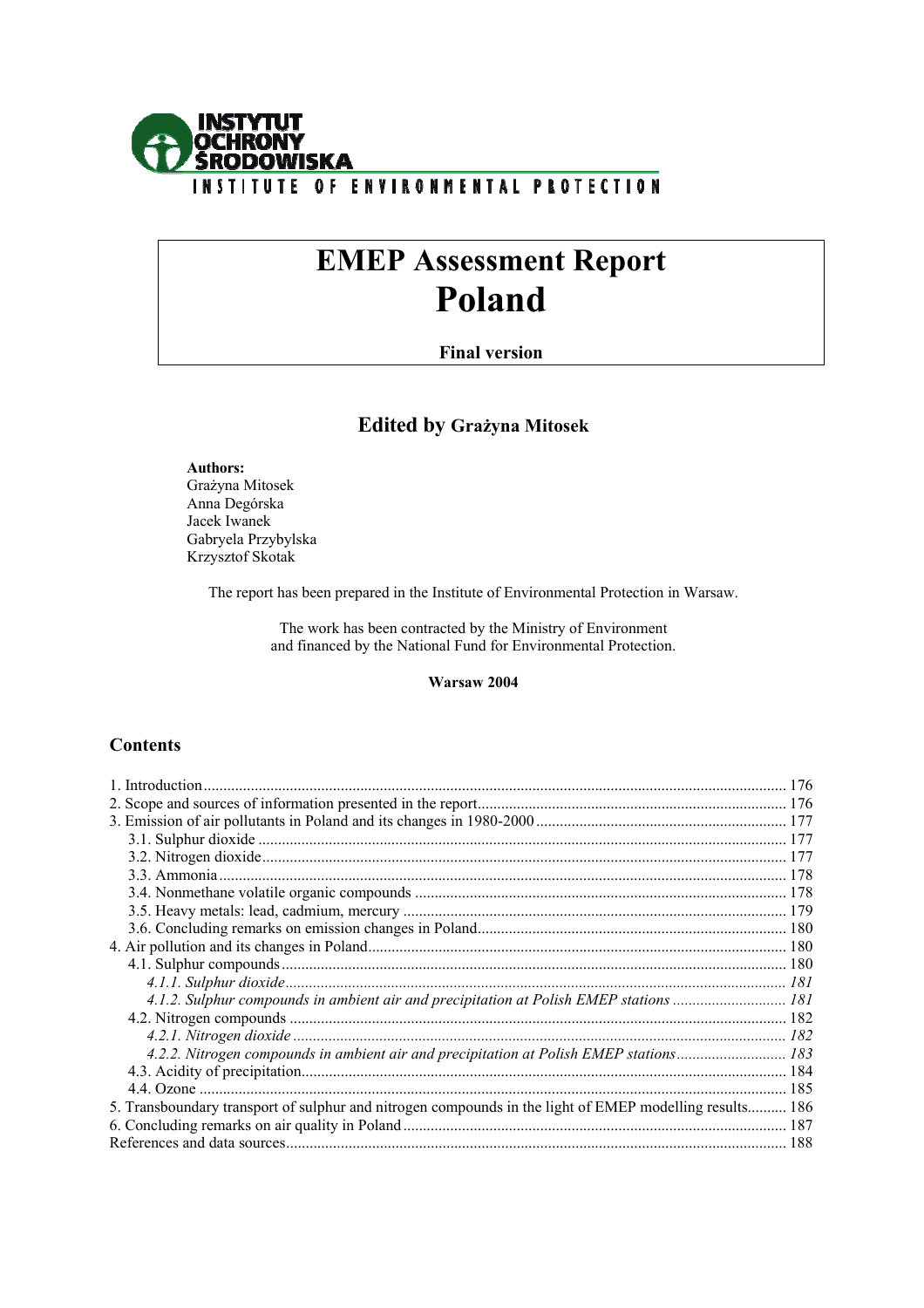

# **EMEP Assessment Report Poland**

# **Final version**

# **Edited by Grażyna Mitosek**

 **Authors:**  Grażyna Mitosek Anna Degórska Jacek Iwanek Gabryela Przybylska Krzysztof Skotak

The report has been prepared in the Institute of Environmental Protection in Warsaw.

The work has been contracted by the Ministry of Environment and financed by the National Fund for Environmental Protection.

# **Warsaw 2004**

# **Contents**

| 4.1.2. Sulphur compounds in ambient air and precipitation at Polish EMEP stations  181                  |  |
|---------------------------------------------------------------------------------------------------------|--|
|                                                                                                         |  |
|                                                                                                         |  |
| 4.2.2. Nitrogen compounds in ambient air and precipitation at Polish EMEP stations 183                  |  |
|                                                                                                         |  |
|                                                                                                         |  |
| 5. Transboundary transport of sulphur and nitrogen compounds in the light of EMEP modelling results 186 |  |
|                                                                                                         |  |
|                                                                                                         |  |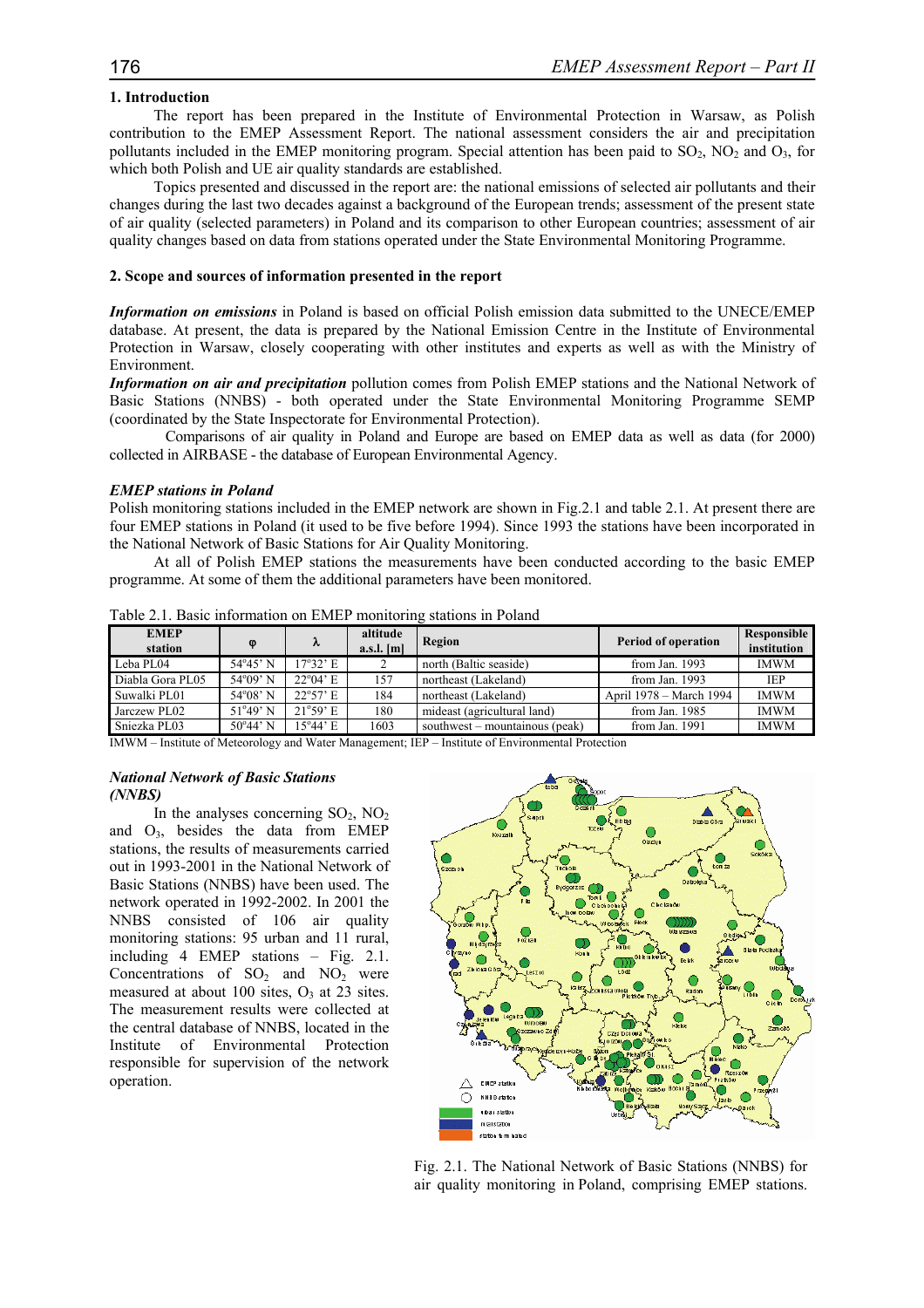# **1. Introduction**

The report has been prepared in the Institute of Environmental Protection in Warsaw, as Polish contribution to the EMEP Assessment Report. The national assessment considers the air and precipitation pollutants included in the EMEP monitoring program. Special attention has been paid to  $SO_2$ ,  $NO_2$  and  $O_3$ , for which both Polish and UE air quality standards are established.

Topics presented and discussed in the report are: the national emissions of selected air pollutants and their changes during the last two decades against a background of the European trends; assessment of the present state of air quality (selected parameters) in Poland and its comparison to other European countries; assessment of air quality changes based on data from stations operated under the State Environmental Monitoring Programme.

#### **2. Scope and sources of information presented in the report**

*Information on emissions* in Poland is based on official Polish emission data submitted to the UNECE/EMEP database. At present, the data is prepared by the National Emission Centre in the Institute of Environmental Protection in Warsaw, closely cooperating with other institutes and experts as well as with the Ministry of Environment.

*Information on air and precipitation* pollution comes from Polish EMEP stations and the National Network of Basic Stations (NNBS) - both operated under the State Environmental Monitoring Programme SEMP (coordinated by the State Inspectorate for Environmental Protection).

 Comparisons of air quality in Poland and Europe are based on EMEP data as well as data (for 2000) collected in AIRBASE - the database of European Environmental Agency.

#### *EMEP stations in Poland*

Polish monitoring stations included in the EMEP network are shown in Fig.2.1 and table 2.1. At present there are four EMEP stations in Poland (it used to be five before 1994). Since 1993 the stations have been incorporated in the National Network of Basic Stations for Air Quality Monitoring.

At all of Polish EMEP stations the measurements have been conducted according to the basic EMEP programme. At some of them the additional parameters have been monitored.

| <b>EMEP</b><br>station | $\omega$          | λ                         | altitude<br>$a.s.l.$ [m] | Region                         | Period of operation     | Responsible<br>institution |
|------------------------|-------------------|---------------------------|--------------------------|--------------------------------|-------------------------|----------------------------|
| Leba PL04              | $54^{\circ}45'$ N | $17^{\circ}32$ ' E        |                          | north (Baltic seaside)         | from Jan. 1993          | <b>IMWM</b>                |
| Diabla Gora PL05       | $54^{\circ}09'$ N | $22^{\circ}04'$ E         | 157                      | northeast (Lakeland)           | from Jan. 1993          | <b>IEP</b>                 |
| Suwalki PL01           | $54^{\circ}08'$ N | $22^{\circ}57'$ E         | 184                      | northeast (Lakeland)           | April 1978 – March 1994 | <b>IMWM</b>                |
| Jarczew PL02           | $51^{\circ}49'$ N | 21°59' E                  | 180                      | mideast (agricultural land)    | from Jan. 1985          | <b>IMWM</b>                |
| Sniezka PL03           | $50^{\circ}44'$ N | $15^{\circ}44' \text{ E}$ | 1603                     | southwest – mountainous (peak) | from Jan. $1991$        | <b>IMWM</b>                |

Table 2.1. Basic information on EMEP monitoring stations in Poland

IMWM – Institute of Meteorology and Water Management; IEP – Institute of Environmental Protection

# *National Network of Basic Stations (NNBS)*

In the analyses concerning  $SO_2$ ,  $NO_2$ and  $O_3$ , besides the data from EMEP stations, the results of measurements carried out in 1993-2001 in the National Network of Basic Stations (NNBS) have been used. The network operated in 1992-2002. In 2001 the NNBS consisted of 106 air quality monitoring stations: 95 urban and 11 rural, including 4 EMEP stations – Fig. 2.1. Concentrations of  $SO_2$  and  $NO_2$  were measured at about 100 sites,  $O_3$  at 23 sites. The measurement results were collected at the central database of NNBS, located in the Institute of Environmental Protection responsible for supervision of the network operation.



Fig. 2.1. The National Network of Basic Stations (NNBS) for air quality monitoring in Poland, comprising EMEP stations.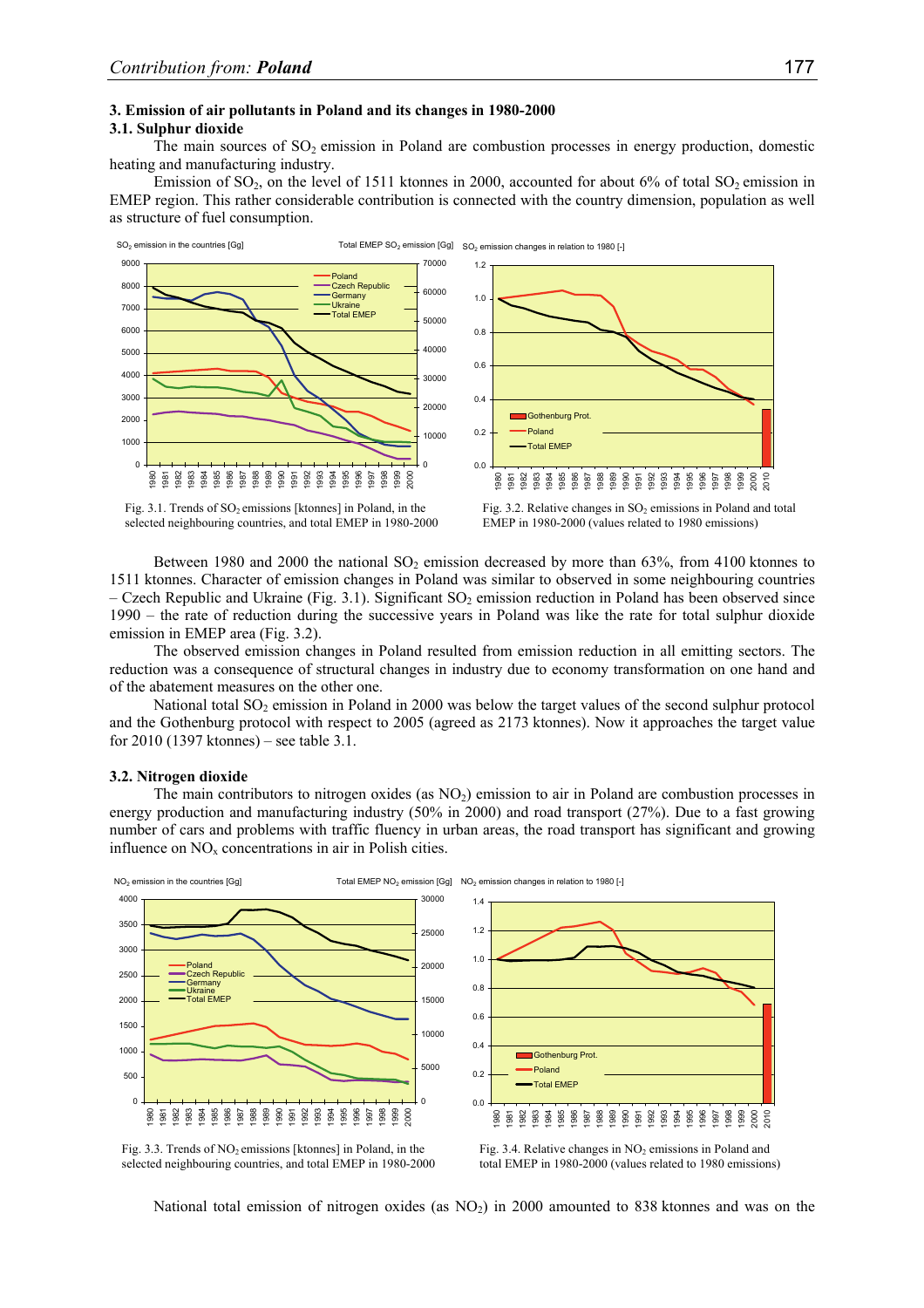## **3. Emission of air pollutants in Poland and its changes in 1980-2000**

# **3.1. Sulphur dioxide**

The main sources of  $SO<sub>2</sub>$  emission in Poland are combustion processes in energy production, domestic heating and manufacturing industry.

Emission of  $SO_2$ , on the level of 1511 ktonnes in 2000, accounted for about 6% of total  $SO_2$  emission in EMEP region. This rather considerable contribution is connected with the country dimension, population as well as structure of fuel consumption.



selected neighbouring countries, and total EMEP in 1980-2000

Fig. 3.2. Relative changes in  $SO<sub>2</sub>$  emissions in Poland and total EMEP in 1980-2000 (values related to 1980 emissions)

Between 1980 and 2000 the national  $SO_2$  emission decreased by more than 63%, from 4100 ktonnes to 1511 ktonnes. Character of emission changes in Poland was similar to observed in some neighbouring countries – Czech Republic and Ukraine (Fig. 3.1). Significant  $SO_2$  emission reduction in Poland has been observed since 1990 – the rate of reduction during the successive years in Poland was like the rate for total sulphur dioxide emission in EMEP area (Fig. 3.2).

The observed emission changes in Poland resulted from emission reduction in all emitting sectors. The reduction was a consequence of structural changes in industry due to economy transformation on one hand and of the abatement measures on the other one.

National total  $SO<sub>2</sub>$  emission in Poland in 2000 was below the target values of the second sulphur protocol and the Gothenburg protocol with respect to 2005 (agreed as 2173 ktonnes). Now it approaches the target value for 2010 (1397 ktonnes) – see table 3.1.

#### **3.2. Nitrogen dioxide**

The main contributors to nitrogen oxides (as  $NO<sub>2</sub>$ ) emission to air in Poland are combustion processes in energy production and manufacturing industry (50% in 2000) and road transport (27%). Due to a fast growing number of cars and problems with traffic fluency in urban areas, the road transport has significant and growing influence on  $NO<sub>x</sub>$  concentrations in air in Polish cities.





Fig. 3.4. Relative changes in  $NO<sub>2</sub>$  emissions in Poland and total EMEP in 1980-2000 (values related to 1980 emissions)

National total emission of nitrogen oxides (as  $NO<sub>2</sub>$ ) in 2000 amounted to 838 ktonnes and was on the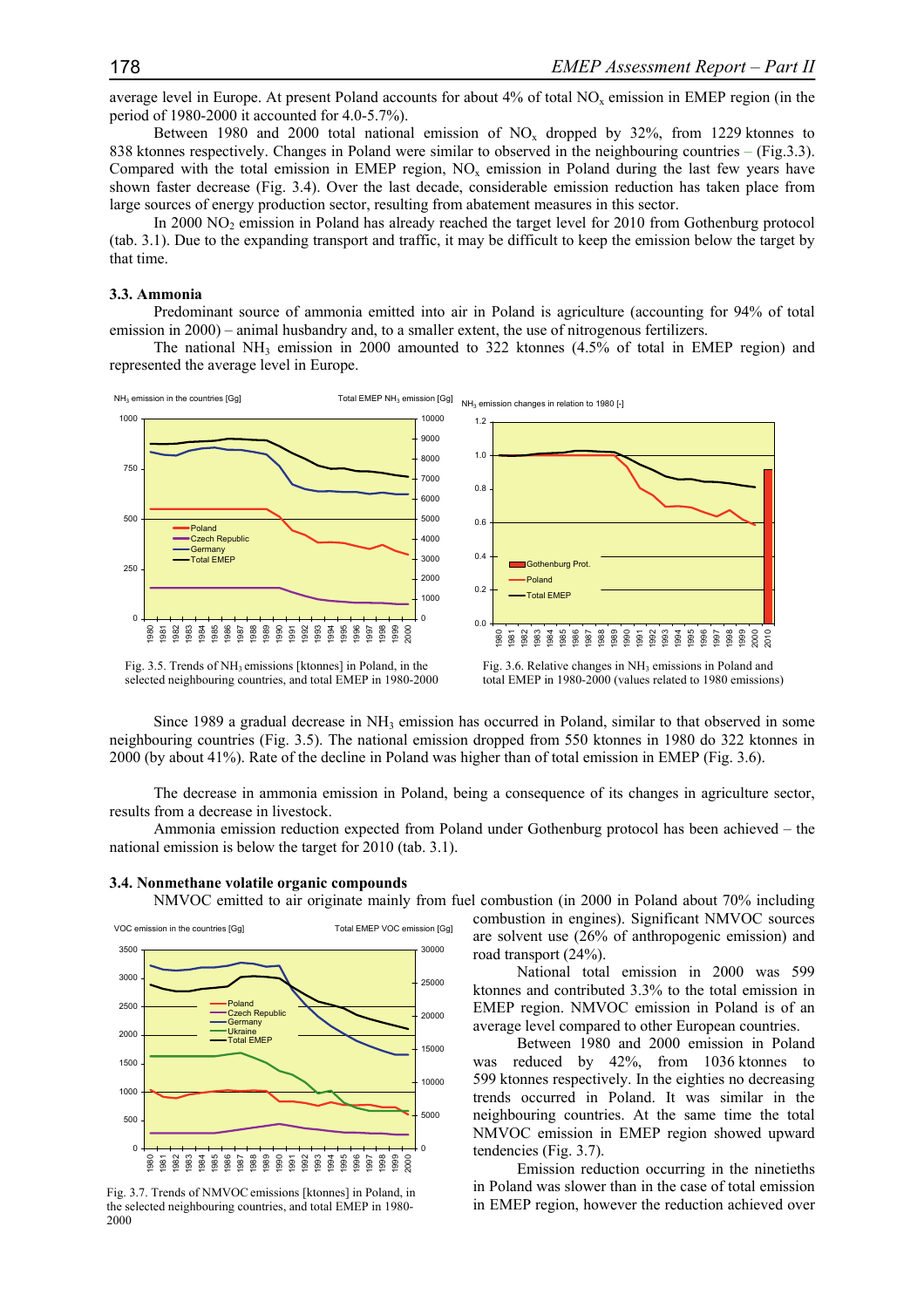average level in Europe. At present Poland accounts for about  $4\%$  of total NO<sub>x</sub> emission in EMEP region (in the period of 1980-2000 it accounted for 4.0-5.7%).

Between 1980 and 2000 total national emission of  $NO<sub>x</sub>$  dropped by 32%, from 1229 ktonnes to 838 ktonnes respectively. Changes in Poland were similar to observed in the neighbouring countries – (Fig.3.3). Compared with the total emission in EMEP region, NO<sub>x</sub> emission in Poland during the last few years have shown faster decrease (Fig. 3.4). Over the last decade, considerable emission reduction has taken place from large sources of energy production sector, resulting from abatement measures in this sector.

In 2000 NO2 emission in Poland has already reached the target level for 2010 from Gothenburg protocol (tab. 3.1). Due to the expanding transport and traffic, it may be difficult to keep the emission below the target by that time.

# **3.3. Ammonia**

Predominant source of ammonia emitted into air in Poland is agriculture (accounting for 94% of total emission in 2000) – animal husbandry and, to a smaller extent, the use of nitrogenous fertilizers.

The national NH<sub>3</sub> emission in 2000 amounted to 322 ktonnes  $(4.5\%$  of total in EMEP region) and represented the average level in Europe.



Fig. 3.5. Trends of NH3 emissions [ktonnes] in Poland, in the selected neighbouring countries, and total EMEP in 1980-2000

Since 1989 a gradual decrease in  $NH<sub>3</sub>$  emission has occurred in Poland, similar to that observed in some neighbouring countries (Fig. 3.5). The national emission dropped from 550 ktonnes in 1980 do 322 ktonnes in 2000 (by about 41%). Rate of the decline in Poland was higher than of total emission in EMEP (Fig. 3.6).

The decrease in ammonia emission in Poland, being a consequence of its changes in agriculture sector, results from a decrease in livestock.

Ammonia emission reduction expected from Poland under Gothenburg protocol has been achieved – the national emission is below the target for 2010 (tab. 3.1).



**3.4. Nonmethane volatile organic compounds** 

Fig. 3.7. Trends of NMVOCemissions [ktonnes] in Poland, in the selected neighbouring countries, and total EMEP in 1980- 2000

NMVOC emitted to air originate mainly from fuel combustion (in 2000 in Poland about 70% including combustion in engines). Significant NMVOC sources are solvent use (26% of anthropogenic emission) and road transport (24%).

National total emission in 2000 was 599 ktonnes and contributed 3.3% to the total emission in EMEP region. NMVOC emission in Poland is of an average level compared to other European countries.

Between 1980 and 2000 emission in Poland was reduced by 42%, from 1036 ktonnes to 599 ktonnes respectively. In the eighties no decreasing trends occurred in Poland. It was similar in the neighbouring countries. At the same time the total NMVOC emission in EMEP region showed upward tendencies (Fig. 3.7).

Emission reduction occurring in the ninetieths in Poland was slower than in the case of total emission in EMEP region, however the reduction achieved over

Fig. 3.6. Relative changes in NH3 emissions in Poland and total EMEP in 1980-2000 (values related to 1980 emissions)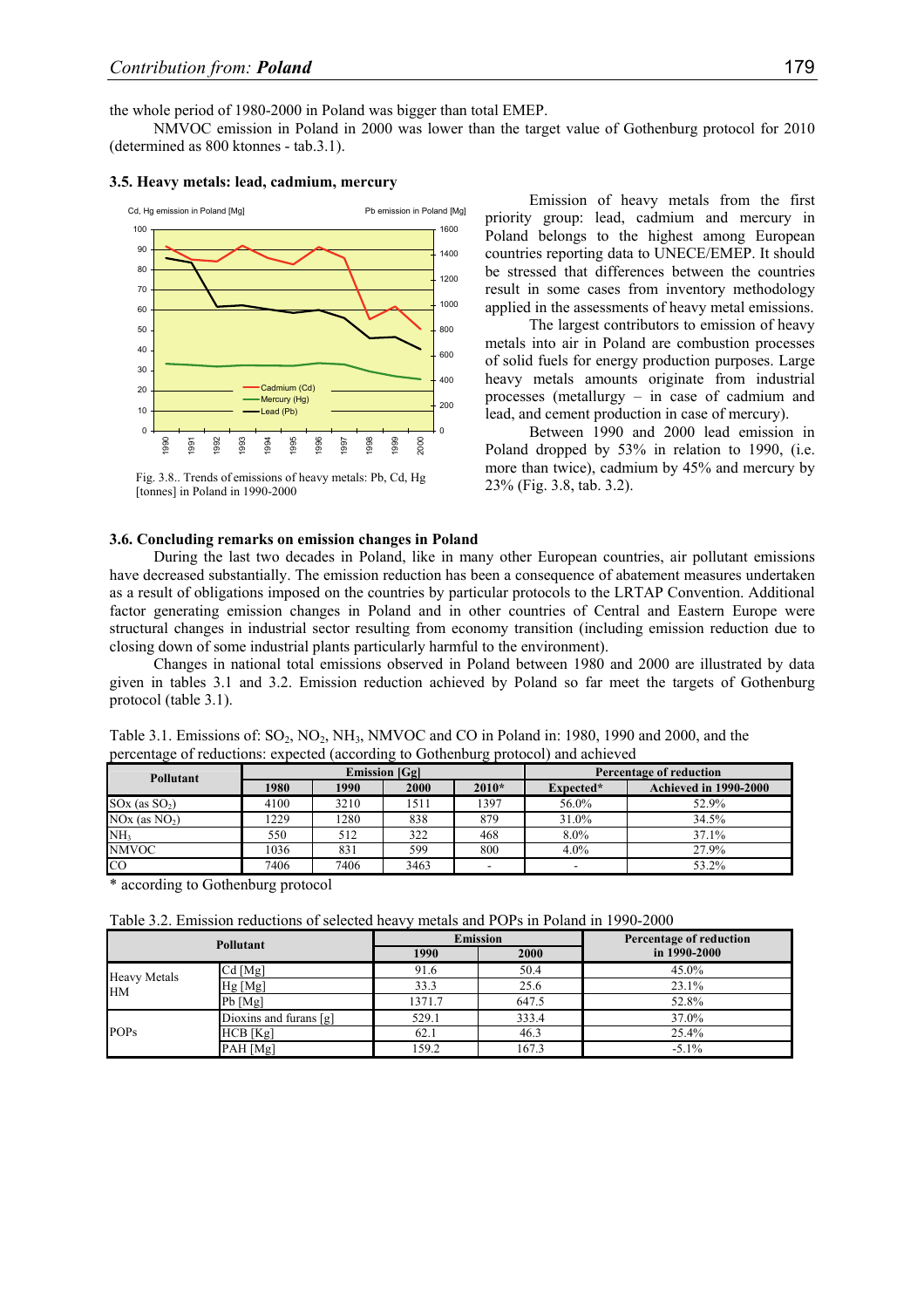the whole period of 1980-2000 in Poland was bigger than total EMEP.

NMVOC emission in Poland in 2000 was lower than the target value of Gothenburg protocol for 2010 (determined as 800 ktonnes - tab.3.1).

## **3.5. Heavy metals: lead, cadmium, mercury**



Fig. 3.8.. Trends of emissions of heavy metals: Pb, Cd, Hg [tonnes] in Poland in 1990-2000

Emission of heavy metals from the first priority group: lead, cadmium and mercury in Poland belongs to the highest among European countries reporting data to UNECE/EMEP. It should be stressed that differences between the countries result in some cases from inventory methodology applied in the assessments of heavy metal emissions.

The largest contributors to emission of heavy metals into air in Poland are combustion processes of solid fuels for energy production purposes. Large heavy metals amounts originate from industrial processes (metallurgy – in case of cadmium and lead, and cement production in case of mercury).

Between 1990 and 2000 lead emission in Poland dropped by 53% in relation to 1990, (i.e. more than twice), cadmium by 45% and mercury by 23% (Fig. 3.8, tab. 3.2).

## **3.6. Concluding remarks on emission changes in Poland**

During the last two decades in Poland, like in many other European countries, air pollutant emissions have decreased substantially. The emission reduction has been a consequence of abatement measures undertaken as a result of obligations imposed on the countries by particular protocols to the LRTAP Convention. Additional factor generating emission changes in Poland and in other countries of Central and Eastern Europe were structural changes in industrial sector resulting from economy transition (including emission reduction due to closing down of some industrial plants particularly harmful to the environment).

Changes in national total emissions observed in Poland between 1980 and 2000 are illustrated by data given in tables 3.1 and 3.2. Emission reduction achieved by Poland so far meet the targets of Gothenburg protocol (table 3.1).

| Pollutant         | <b>Emission</b> [Gg] |      |      |         | Percentage of reduction |                              |  |
|-------------------|----------------------|------|------|---------|-------------------------|------------------------------|--|
|                   | 1980                 | 1990 | 2000 | $2010*$ | Expected*               | <b>Achieved in 1990-2000</b> |  |
| $SOX$ (as $SO2$ ) | 4100                 | 3210 | 1511 | 1397    | 56.0%                   | 52.9%                        |  |
| $NOx$ (as $NO2$ ) | 1229                 | 1280 | 838  | 879     | 31.0%                   | 34.5%                        |  |
| NH <sub>3</sub>   | 550                  | 512  | 322  | 468     | 8.0%                    | 37.1%                        |  |
| <b>NMVOC</b>      | 1036                 | 831  | 599  | 800     | 4.0%                    | 27.9%                        |  |
| CO                | 7406                 | 7406 | 3463 |         |                         | 53.2%                        |  |

Table 3.1. Emissions of:  $SO_2$ ,  $NO_2$ ,  $NH_3$ ,  $NMVOC$  and  $CO$  in Poland in: 1980, 1990 and 2000, and the percentage of reductions: expected (according to Gothenburg protocol) and achieved

\* according to Gothenburg protocol

Table 3.2. Emission reductions of selected heavy metals and POPs in Poland in 1990-2000

| Pollutant                        |                        |        | <b>Emission</b> | Percentage of reduction |  |
|----------------------------------|------------------------|--------|-----------------|-------------------------|--|
|                                  |                        | 1990   | 2000            | in 1990-2000            |  |
| <b>Heavy Metals</b><br><b>HM</b> | Cd [Mg]                | 91.6   | 50.4            | 45.0%                   |  |
|                                  | Hg [Mg]                | 33.3   | 25.6            | 23.1%                   |  |
|                                  | $Pb$ [Mg]              | 1371.7 | 647.5           | 52.8%                   |  |
| <b>POPs</b>                      | Dioxins and furans [g] | 529.1  | 333.4           | 37.0%                   |  |
|                                  | HCB [Kg]               | 62.1   | 46.3            | 25.4%                   |  |
|                                  | PAH [Mg]               | 159.2  | 167.3           | $-5.1\%$                |  |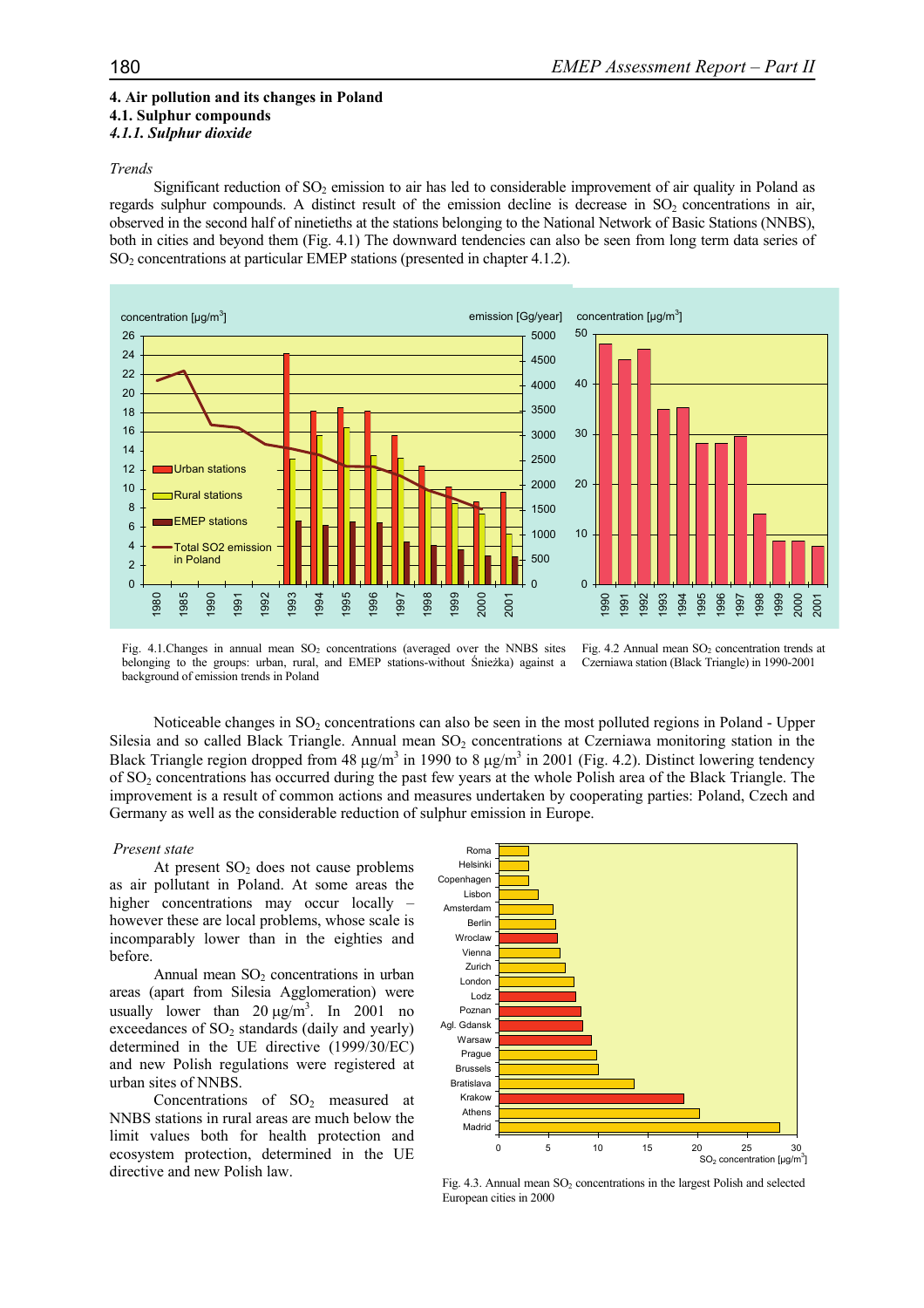# **4. Air pollution and its changes in Poland**

## **4.1. Sulphur compounds**  *4.1.1. Sulphur dioxide*

## *Trends*

Significant reduction of  $SO<sub>2</sub>$  emission to air has led to considerable improvement of air quality in Poland as regards sulphur compounds. A distinct result of the emission decline is decrease in  $SO<sub>2</sub>$  concentrations in air, observed in the second half of ninetieths at the stations belonging to the National Network of Basic Stations (NNBS), both in cities and beyond them (Fig. 4.1) The downward tendencies can also be seen from long term data series of  $SO<sub>2</sub>$  concentrations at particular EMEP stations (presented in chapter 4.1.2).



Fig.  $4.1$ .Changes in annual mean  $SO<sub>2</sub>$  concentrations (averaged over the NNBS sites belonging to the groups: urban, rural, and EMEP stations-without Śnieżka) against a background of emission trends in Poland



Noticeable changes in  $SO_2$  concentrations can also be seen in the most polluted regions in Poland - Upper Silesia and so called Black Triangle. Annual mean  $SO<sub>2</sub>$  concentrations at Czerniawa monitoring station in the Black Triangle region dropped from 48  $\mu$ g/m<sup>3</sup> in 1990 to 8  $\mu$ g/m<sup>3</sup> in 2001 (Fig. 4.2). Distinct lowering tendency of SO2 concentrations has occurred during the past few years at the whole Polish area of the Black Triangle. The improvement is a result of common actions and measures undertaken by cooperating parties: Poland, Czech and Germany as well as the considerable reduction of sulphur emission in Europe.

## *Present state*

At present  $SO<sub>2</sub>$  does not cause problems as air pollutant in Poland. At some areas the higher concentrations may occur locally – however these are local problems, whose scale is incomparably lower than in the eighties and before.

Annual mean  $SO<sub>2</sub>$  concentrations in urban areas (apart from Silesia Agglomeration) were usually lower than  $20 \mu g/m^3$ . In  $2001$  no exceedances of  $SO<sub>2</sub>$  standards (daily and yearly) determined in the UE directive (1999/30/EC) and new Polish regulations were registered at urban sites of NNBS.

Concentrations of  $SO<sub>2</sub>$  measured at NNBS stations in rural areas are much below the limit values both for health protection and ecosystem protection, determined in the UE directive and new Polish law.



Fig. 4.3. Annual mean  $SO_2$  concentrations in the largest Polish and selected European cities in 2000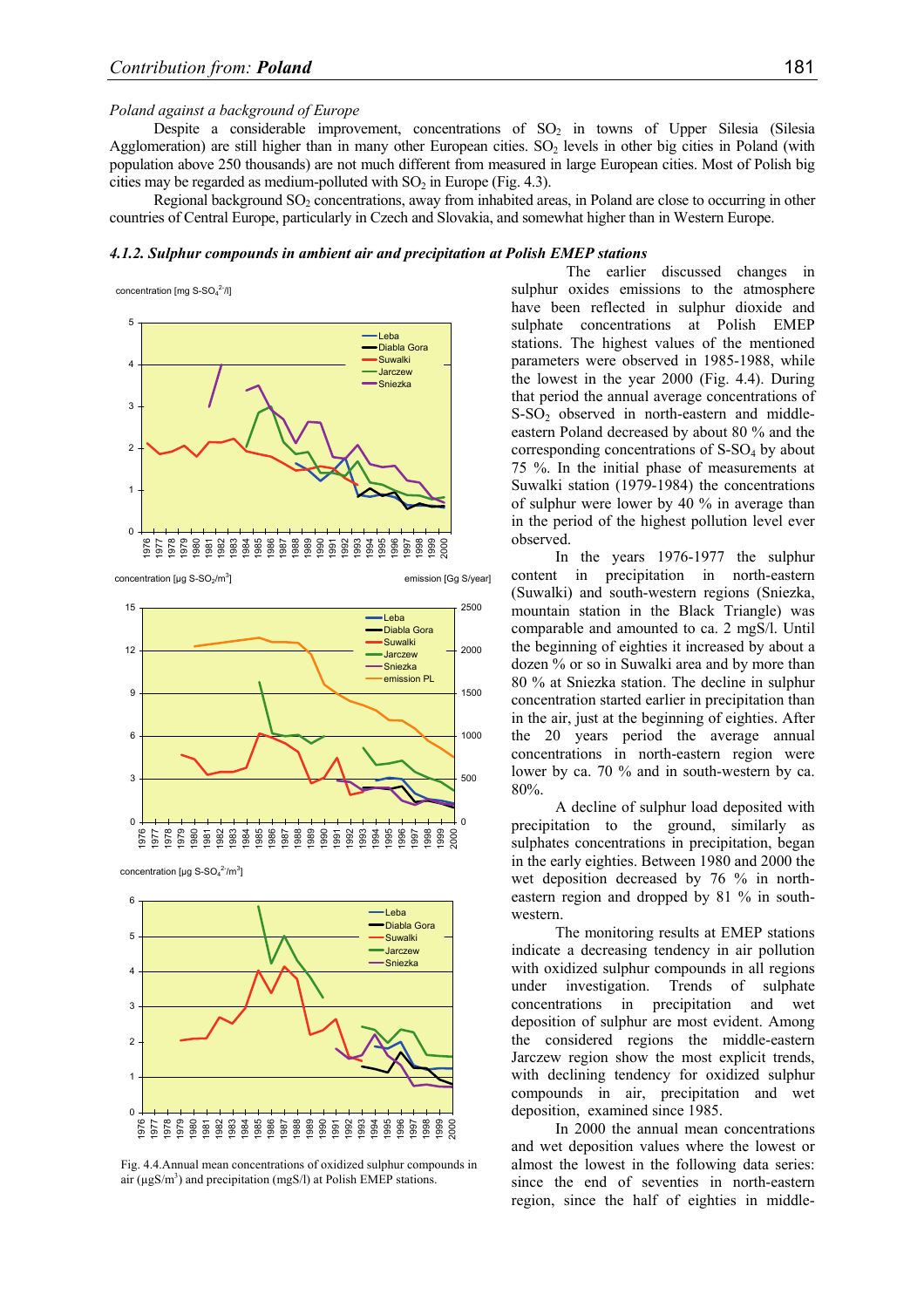# *Poland against a background of Europe*

Despite a considerable improvement, concentrations of  $SO<sub>2</sub>$  in towns of Upper Silesia (Silesia Agglomeration) are still higher than in many other European cities.  $SO<sub>2</sub>$  levels in other big cities in Poland (with population above 250 thousands) are not much different from measured in large European cities. Most of Polish big cities may be regarded as medium-polluted with  $SO<sub>2</sub>$  in Europe (Fig. 4.3).

Regional background SO<sub>2</sub> concentrations, away from inhabited areas, in Poland are close to occurring in other countries of Central Europe, particularly in Czech and Slovakia, and somewhat higher than in Western Europe.

# *4.1.2. Sulphur compounds in ambient air and precipitation at Polish EMEP stations*

concentration [mg  $S-SO<sub>4</sub><sup>2-</sup>/l$ ]



concentration [ $\mu$ g S-SO<sub>2</sub>/m<sup>3</sup>]

emission [Gg S/year]



concentration [µg  $S-SO<sub>4</sub><sup>2-</sup>/m<sup>3</sup>]$ 



Fig. 4.4.Annual mean concentrations of oxidized sulphur compounds in air ( $\mu$ gS/m<sup>3</sup>) and precipitation (mgS/l) at Polish EMEP stations.

 The earlier discussed changes in sulphur oxides emissions to the atmosphere have been reflected in sulphur dioxide and sulphate concentrations at Polish EMEP stations. The highest values of the mentioned parameters were observed in 1985-1988, while the lowest in the year 2000 (Fig. 4.4). During that period the annual average concentrations of S-SO<sub>2</sub> observed in north-eastern and middleeastern Poland decreased by about 80 % and the corresponding concentrations of  $S-SO<sub>4</sub>$  by about 75 %. In the initial phase of measurements at Suwalki station (1979-1984) the concentrations of sulphur were lower by 40 % in average than in the period of the highest pollution level ever observed.

In the years 1976-1977 the sulphur content in precipitation in north-eastern (Suwalki) and south-western regions (Sniezka, mountain station in the Black Triangle) was comparable and amounted to ca. 2 mgS/l. Until the beginning of eighties it increased by about a dozen % or so in Suwalki area and by more than 80 % at Sniezka station. The decline in sulphur concentration started earlier in precipitation than in the air, just at the beginning of eighties. After the 20 years period the average annual concentrations in north-eastern region were lower by ca. 70 % and in south-western by ca. 80%.

A decline of sulphur load deposited with precipitation to the ground, similarly as sulphates concentrations in precipitation, began in the early eighties. Between 1980 and 2000 the wet deposition decreased by 76 % in northeastern region and dropped by 81 % in southwestern.

The monitoring results at EMEP stations indicate a decreasing tendency in air pollution with oxidized sulphur compounds in all regions under investigation. Trends of sulphate concentrations in precipitation and wet deposition of sulphur are most evident. Among the considered regions the middle-eastern Jarczew region show the most explicit trends, with declining tendency for oxidized sulphur compounds in air, precipitation and wet deposition, examined since 1985.

In 2000 the annual mean concentrations and wet deposition values where the lowest or almost the lowest in the following data series: since the end of seventies in north-eastern region, since the half of eighties in middle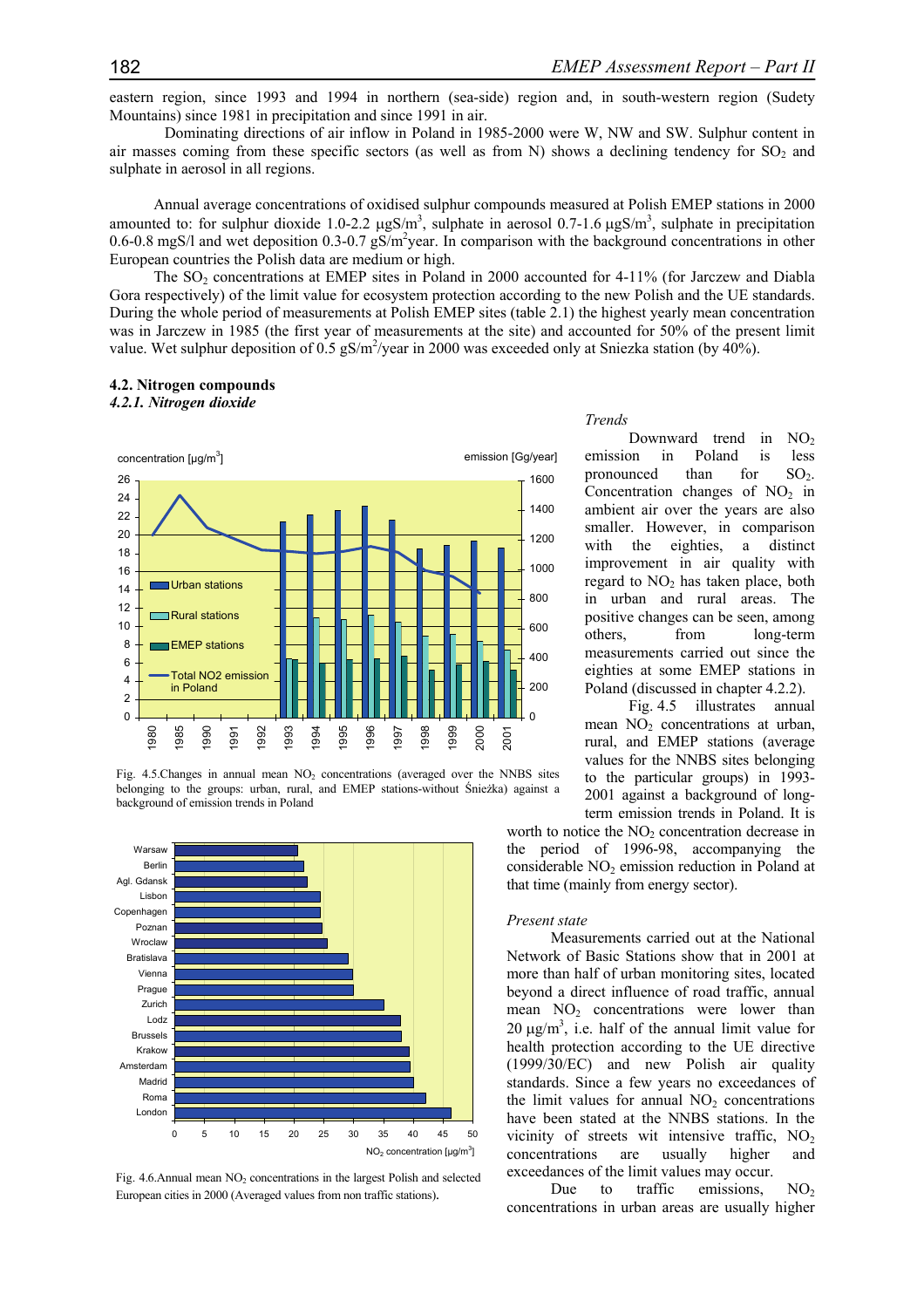eastern region, since 1993 and 1994 in northern (sea-side) region and, in south-western region (Sudety Mountains) since 1981 in precipitation and since 1991 in air.

Dominating directions of air inflow in Poland in 1985-2000 were W, NW and SW. Sulphur content in air masses coming from these specific sectors (as well as from N) shows a declining tendency for  $SO<sub>2</sub>$  and sulphate in aerosol in all regions.

Annual average concentrations of oxidised sulphur compounds measured at Polish EMEP stations in 2000 amounted to: for sulphur dioxide 1.0-2.2  $\mu$ gS/m<sup>3</sup>, sulphate in aerosol 0.7-1.6  $\mu$ gS/m<sup>3</sup>, sulphate in precipitation 0.6-0.8 mgS/l and wet deposition 0.3-0.7 gS/m<sup>2</sup>year. In comparison with the background concentrations in other European countries the Polish data are medium or high.

The SO<sub>2</sub> concentrations at EMEP sites in Poland in 2000 accounted for 4-11% (for Jarczew and Diabla Gora respectively) of the limit value for ecosystem protection according to the new Polish and the UE standards. During the whole period of measurements at Polish EMEP sites (table 2.1) the highest yearly mean concentration was in Jarczew in 1985 (the first year of measurements at the site) and accounted for 50% of the present limit value. Wet sulphur deposition of 0.5  $gS/m^2$ /year in 2000 was exceeded only at Sniezka station (by 40%).

## **4.2. Nitrogen compounds**





Fig. 4.5. Changes in annual mean  $NO<sub>2</sub>$  concentrations (averaged over the NNBS sites belonging to the groups: urban, rural, and EMEP stations-without Śnieżka) against a background of emission trends in Poland



Fig.  $4.6$ . Annual mean NO<sub>2</sub> concentrations in the largest Polish and selected European cities in 2000 (Averaged values from non traffic stations).

#### *Trends*

Downward trend in  $NO<sub>2</sub>$ emission in Poland is less pronounced than for  $SO<sub>2</sub>$ . Concentration changes of  $NO<sub>2</sub>$  in ambient air over the years are also smaller. However, in comparison with the eighties, a distinct improvement in air quality with regard to  $NO<sub>2</sub>$  has taken place, both in urban and rural areas. The positive changes can be seen, among others, from long-term measurements carried out since the eighties at some EMEP stations in Poland (discussed in chapter 4.2.2).

Fig. 4.5 illustrates annual mean  $NO<sub>2</sub>$  concentrations at urban, rural, and EMEP stations (average values for the NNBS sites belonging to the particular groups) in 1993- 2001 against a background of longterm emission trends in Poland. It is

worth to notice the  $NO<sub>2</sub>$  concentration decrease in the period of 1996-98, accompanying the considerable  $NO<sub>2</sub>$  emission reduction in Poland at that time (mainly from energy sector).

#### *Present state*

Measurements carried out at the National Network of Basic Stations show that in 2001 at more than half of urban monitoring sites, located beyond a direct influence of road traffic, annual mean  $NO<sub>2</sub>$  concentrations were lower than  $20 \mu g/m^3$ , i.e. half of the annual limit value for health protection according to the UE directive (1999/30/EC) and new Polish air quality standards. Since a few years no exceedances of the limit values for annual  $NO<sub>2</sub>$  concentrations have been stated at the NNBS stations. In the vicinity of streets wit intensive traffic,  $NO<sub>2</sub>$ concentrations are usually higher and exceedances of the limit values may occur.

Due to traffic emissions,  $NO<sub>2</sub>$ concentrations in urban areas are usually higher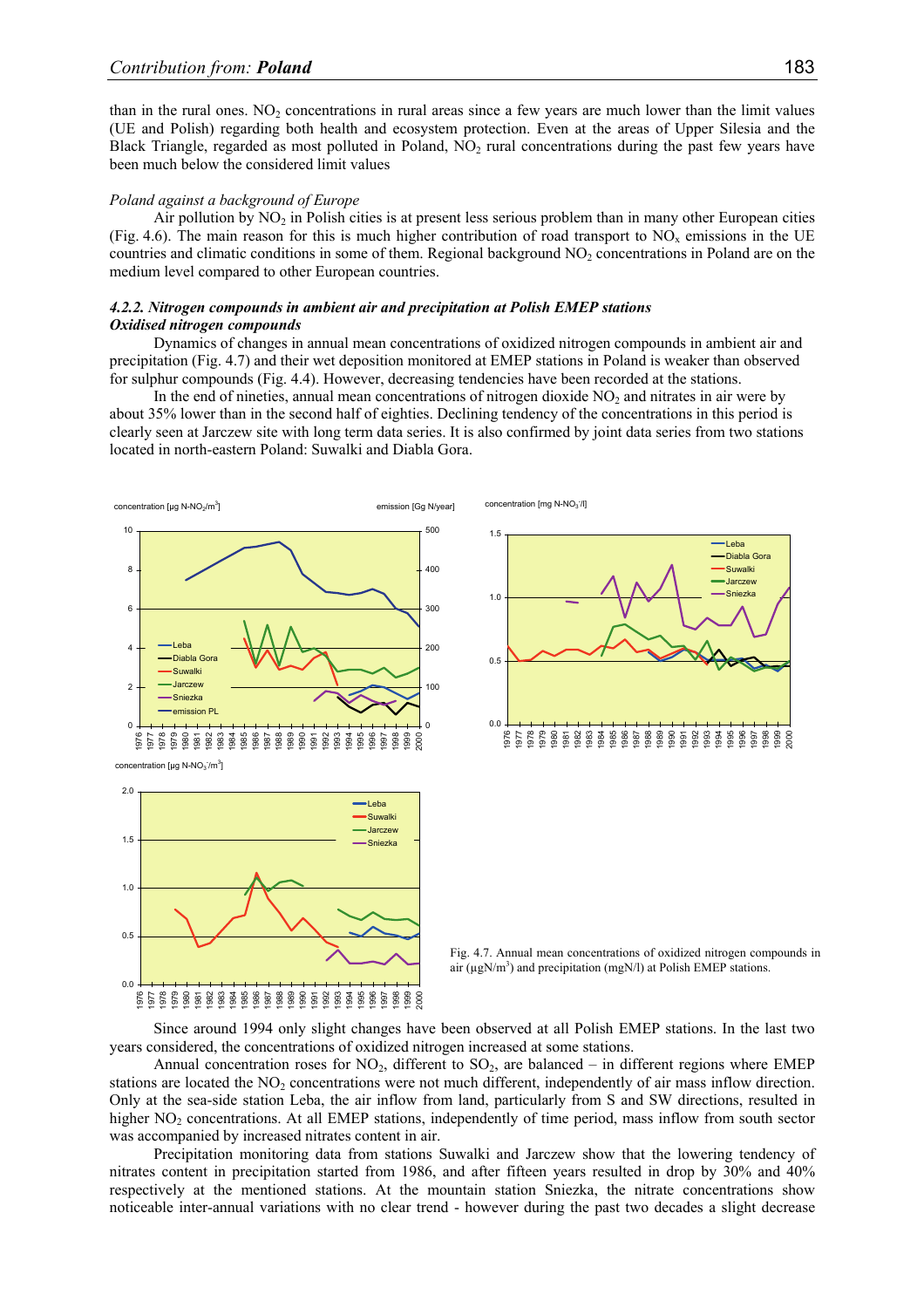than in the rural ones.  $NO<sub>2</sub>$  concentrations in rural areas since a few years are much lower than the limit values (UE and Polish) regarding both health and ecosystem protection. Even at the areas of Upper Silesia and the Black Triangle, regarded as most polluted in Poland, NO<sub>2</sub> rural concentrations during the past few years have been much below the considered limit values

#### *Poland against a background of Europe*

Air pollution by  $NO<sub>2</sub>$  in Polish cities is at present less serious problem than in many other European cities (Fig. 4.6). The main reason for this is much higher contribution of road transport to  $NO<sub>x</sub>$  emissions in the UE countries and climatic conditions in some of them. Regional background NO<sub>2</sub> concentrations in Poland are on the medium level compared to other European countries.

# *4.2.2. Nitrogen compounds in ambient air and precipitation at Polish EMEP stations Oxidised nitrogen compounds*

Dynamics of changes in annual mean concentrations of oxidized nitrogen compounds in ambient air and precipitation (Fig. 4.7) and their wet deposition monitored at EMEP stations in Poland is weaker than observed for sulphur compounds (Fig. 4.4). However, decreasing tendencies have been recorded at the stations.

In the end of nineties, annual mean concentrations of nitrogen dioxide  $NO<sub>2</sub>$  and nitrates in air were by about 35% lower than in the second half of eighties. Declining tendency of the concentrations in this period is clearly seen at Jarczew site with long term data series. It is also confirmed by joint data series from two stations located in north-eastern Poland: Suwalki and Diabla Gora.



Since around 1994 only slight changes have been observed at all Polish EMEP stations. In the last two years considered, the concentrations of oxidized nitrogen increased at some stations.

Annual concentration roses for  $NO<sub>2</sub>$ , different to  $SO<sub>2</sub>$ , are balanced – in different regions where EMEP stations are located the  $NO<sub>2</sub>$  concentrations were not much different, independently of air mass inflow direction. Only at the sea-side station Leba, the air inflow from land, particularly from S and SW directions, resulted in higher NO<sub>2</sub> concentrations. At all EMEP stations, independently of time period, mass inflow from south sector was accompanied by increased nitrates content in air.

Precipitation monitoring data from stations Suwalki and Jarczew show that the lowering tendency of nitrates content in precipitation started from 1986, and after fifteen years resulted in drop by 30% and 40% respectively at the mentioned stations. At the mountain station Sniezka, the nitrate concentrations show noticeable inter-annual variations with no clear trend - however during the past two decades a slight decrease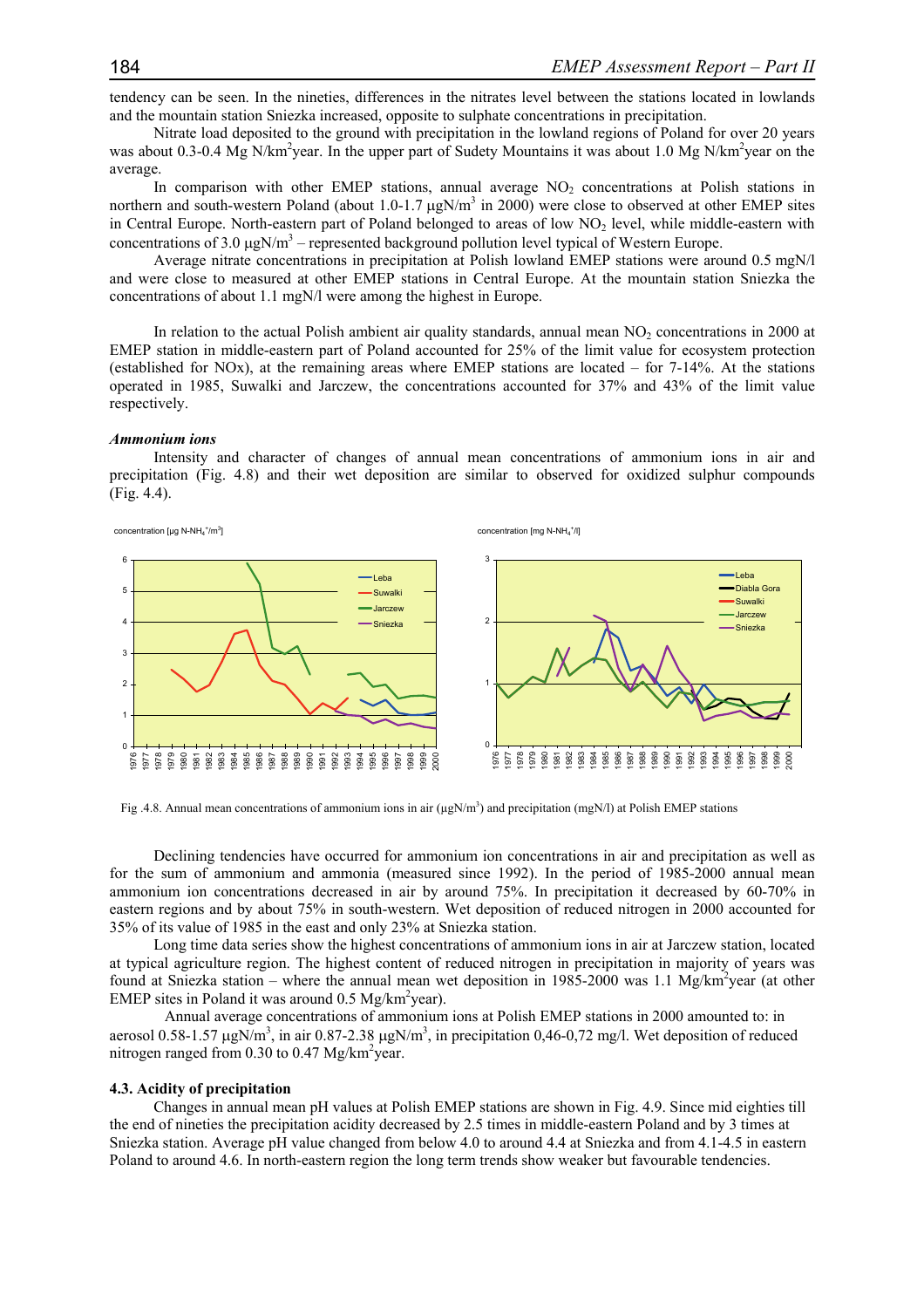tendency can be seen. In the nineties, differences in the nitrates level between the stations located in lowlands and the mountain station Sniezka increased, opposite to sulphate concentrations in precipitation.

Nitrate load deposited to the ground with precipitation in the lowland regions of Poland for over 20 years was about 0.3-0.4 Mg N/km<sup>2</sup>year. In the upper part of Sudety Mountains it was about 1.0 Mg N/km<sup>2</sup>year on the average.

In comparison with other EMEP stations, annual average NO<sub>2</sub> concentrations at Polish stations in northern and south-western Poland (about  $1.0$ -1.7  $\mu$ gN/m<sup>3</sup> in 2000) were close to observed at other EMEP sites in Central Europe. North-eastern part of Poland belonged to areas of low NO<sub>2</sub> level, while middle-eastern with concentrations of 3.0  $\mu$ gN/m<sup>3</sup> – represented background pollution level typical of Western Europe.

Average nitrate concentrations in precipitation at Polish lowland EMEP stations were around 0.5 mgN/l and were close to measured at other EMEP stations in Central Europe. At the mountain station Sniezka the concentrations of about 1.1 mgN/l were among the highest in Europe.

In relation to the actual Polish ambient air quality standards, annual mean  $NO<sub>2</sub>$  concentrations in 2000 at EMEP station in middle-eastern part of Poland accounted for 25% of the limit value for ecosystem protection (established for NOx), at the remaining areas where EMEP stations are located – for 7-14%. At the stations operated in 1985, Suwalki and Jarczew, the concentrations accounted for 37% and 43% of the limit value respectively.

## *Ammonium ions*

Intensity and character of changes of annual mean concentrations of ammonium ions in air and precipitation (Fig. 4.8) and their wet deposition are similar to observed for oxidized sulphur compounds (Fig. 4.4).



Fig. 4.8. Annual mean concentrations of ammonium ions in air  $(\mu gN/m^3)$  and precipitation (mgN/l) at Polish EMEP stations

Declining tendencies have occurred for ammonium ion concentrations in air and precipitation as well as for the sum of ammonium and ammonia (measured since 1992). In the period of 1985-2000 annual mean ammonium ion concentrations decreased in air by around 75%. In precipitation it decreased by 60-70% in eastern regions and by about 75% in south-western. Wet deposition of reduced nitrogen in 2000 accounted for 35% of its value of 1985 in the east and only 23% at Sniezka station.

Long time data series show the highest concentrations of ammonium ions in air at Jarczew station, located at typical agriculture region. The highest content of reduced nitrogen in precipitation in majority of years was found at Sniezka station – where the annual mean wet deposition in 1985-2000 was 1.1 Mg/km<sup>2</sup>year (at other EMEP sites in Poland it was around  $0.5 \text{ Mg/km}^2$ year).

Annual average concentrations of ammonium ions at Polish EMEP stations in 2000 amounted to: in aerosol 0.58-1.57  $\mu$ gN/m<sup>3</sup>, in air 0.87-2.38  $\mu$ gN/m<sup>3</sup>, in precipitation 0,46-0,72 mg/l. Wet deposition of reduced nitrogen ranged from 0.30 to 0.47  $Mg/km^2$ year.

#### **4.3. Acidity of precipitation**

Changes in annual mean pH values at Polish EMEP stations are shown in Fig. 4.9. Since mid eighties till the end of nineties the precipitation acidity decreased by 2.5 times in middle-eastern Poland and by 3 times at Sniezka station. Average pH value changed from below 4.0 to around 4.4 at Sniezka and from 4.1-4.5 in eastern Poland to around 4.6. In north-eastern region the long term trends show weaker but favourable tendencies.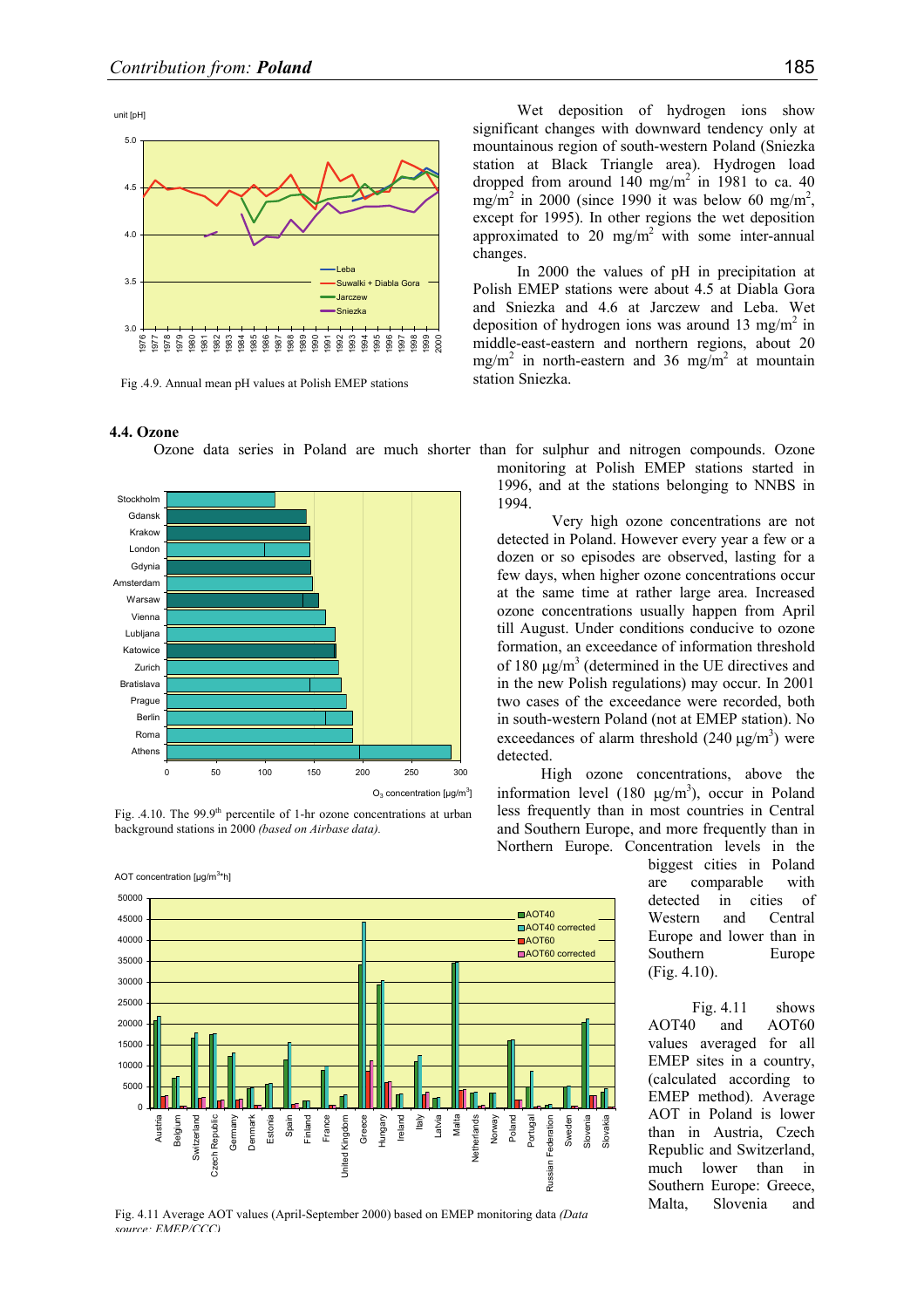

Fig .4.9. Annual mean pH values at Polish EMEP stations

# **4.4. Ozone**

Ozone data series in Poland are much shorter than for sulphur and nitrogen compounds. Ozone



Fig.  $.4.10$ . The 99.9<sup>th</sup> percentile of 1-hr ozone concentrations at urban background stations in 2000 *(based on Airbase data).*

AOT concentration [µg/m<sup>3</sup>\*h]



Fig. 4.11 Average AOT values (April-September 2000) based on EMEP monitoring data *(Data source: EMEP/CCC)*

Wet deposition of hydrogen ions show significant changes with downward tendency only at mountainous region of south-western Poland (Sniezka station at Black Triangle area). Hydrogen load dropped from around  $140 \text{ mg/m}^2$  in 1981 to ca. 40 mg/m<sup>2</sup> in 2000 (since 1990 it was below 60 mg/m<sup>2</sup>, except for 1995). In other regions the wet deposition approximated to 20 mg/m<sup>2</sup> with some inter-annual changes.

In 2000 the values of pH in precipitation at Polish EMEP stations were about 4.5 at Diabla Gora and Sniezka and 4.6 at Jarczew and Leba. Wet deposition of hydrogen ions was around 13 mg/m<sup>2</sup> in middle-east-eastern and northern regions, about 20 mg/m<sup>2</sup> in north-eastern and 36 mg/m<sup>2</sup> at mountain station Sniezka.

monitoring at Polish EMEP stations started in 1996, and at the stations belonging to NNBS in 1994.

Very high ozone concentrations are not detected in Poland. However every year a few or a dozen or so episodes are observed, lasting for a few days, when higher ozone concentrations occur at the same time at rather large area. Increased ozone concentrations usually happen from April till August. Under conditions conducive to ozone formation, an exceedance of information threshold of 180  $\mu$ g/m<sup>3</sup> (determined in the UE directives and in the new Polish regulations) may occur. In 2001 two cases of the exceedance were recorded, both in south-western Poland (not at EMEP station). No exceedances of alarm threshold  $(240 \mu g/m^3)$  were detected.

High ozone concentrations, above the information level  $(180 \text{ µg/m}^3)$ , occur in Poland less frequently than in most countries in Central and Southern Europe, and more frequently than in Northern Europe. Concentration levels in the

> biggest cities in Poland are comparable with detected in cities of Western and Central Europe and lower than in Southern Europe (Fig. 4.10).

Fig. 4.11 shows AOT40 and AOT60 values averaged for all EMEP sites in a country, (calculated according to EMEP method). Average AOT in Poland is lower than in Austria, Czech Republic and Switzerland, much lower than in Southern Europe: Greece, Malta, Slovenia and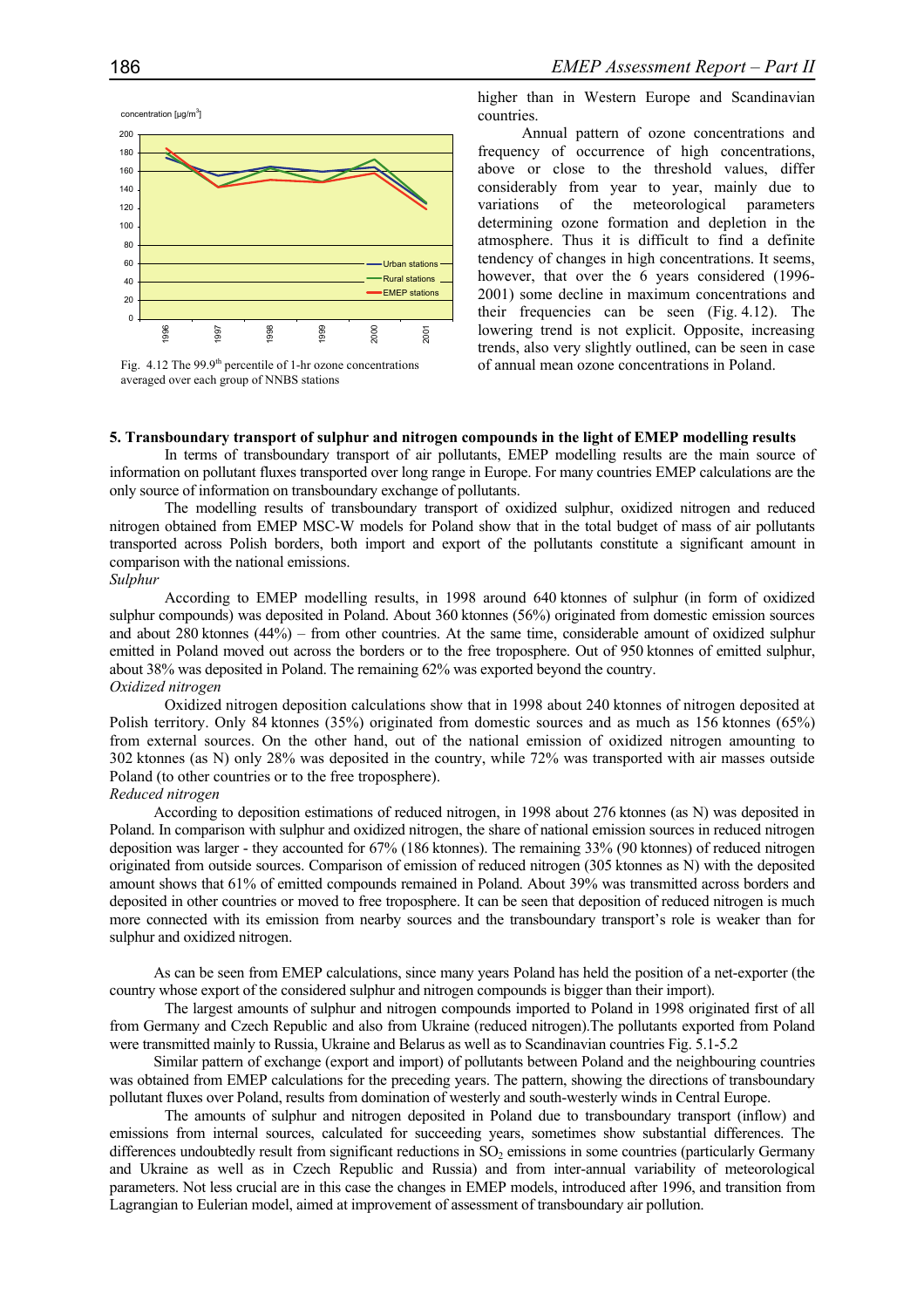



higher than in Western Europe and Scandinavian countries.

Annual pattern of ozone concentrations and frequency of occurrence of high concentrations, above or close to the threshold values, differ considerably from year to year, mainly due to variations of the meteorological parameters determining ozone formation and depletion in the atmosphere. Thus it is difficult to find a definite tendency of changes in high concentrations. It seems, however, that over the 6 years considered (1996- 2001) some decline in maximum concentrations and their frequencies can be seen (Fig. 4.12). The lowering trend is not explicit. Opposite, increasing trends, also very slightly outlined, can be seen in case of annual mean ozone concentrations in Poland.

# **5. Transboundary transport of sulphur and nitrogen compounds in the light of EMEP modelling results**

In terms of transboundary transport of air pollutants, EMEP modelling results are the main source of information on pollutant fluxes transported over long range in Europe. For many countries EMEP calculations are the only source of information on transboundary exchange of pollutants.

 The modelling results of transboundary transport of oxidized sulphur, oxidized nitrogen and reduced nitrogen obtained from EMEP MSC-W models for Poland show that in the total budget of mass of air pollutants transported across Polish borders, both import and export of the pollutants constitute a significant amount in comparison with the national emissions.

## *Sulphur*

 According to EMEP modelling results, in 1998 around 640 ktonnes of sulphur (in form of oxidized sulphur compounds) was deposited in Poland. About 360 ktonnes (56%) originated from domestic emission sources and about 280 ktonnes (44%) – from other countries. At the same time, considerable amount of oxidized sulphur emitted in Poland moved out across the borders or to the free troposphere. Out of 950 ktonnes of emitted sulphur, about 38% was deposited in Poland. The remaining 62% was exported beyond the country. *Oxidized nitrogen* 

Oxidized nitrogen deposition calculations show that in 1998 about 240 ktonnes of nitrogen deposited at Polish territory. Only 84 ktonnes (35%) originated from domestic sources and as much as 156 ktonnes (65%) from external sources. On the other hand, out of the national emission of oxidized nitrogen amounting to 302 ktonnes (as N) only 28% was deposited in the country, while 72% was transported with air masses outside Poland (to other countries or to the free troposphere).

# *Reduced nitrogen*

According to deposition estimations of reduced nitrogen, in 1998 about 276 ktonnes (as N) was deposited in Poland. In comparison with sulphur and oxidized nitrogen, the share of national emission sources in reduced nitrogen deposition was larger - they accounted for 67% (186 ktonnes). The remaining 33% (90 ktonnes) of reduced nitrogen originated from outside sources. Comparison of emission of reduced nitrogen (305 ktonnes as N) with the deposited amount shows that 61% of emitted compounds remained in Poland. About 39% was transmitted across borders and deposited in other countries or moved to free troposphere. It can be seen that deposition of reduced nitrogen is much more connected with its emission from nearby sources and the transboundary transport's role is weaker than for sulphur and oxidized nitrogen.

As can be seen from EMEP calculations, since many years Poland has held the position of a net-exporter (the country whose export of the considered sulphur and nitrogen compounds is bigger than their import).

 The largest amounts of sulphur and nitrogen compounds imported to Poland in 1998 originated first of all from Germany and Czech Republic and also from Ukraine (reduced nitrogen).The pollutants exported from Poland were transmitted mainly to Russia, Ukraine and Belarus as well as to Scandinavian countries Fig. 5.1-5.2

Similar pattern of exchange (export and import) of pollutants between Poland and the neighbouring countries was obtained from EMEP calculations for the preceding years. The pattern, showing the directions of transboundary pollutant fluxes over Poland, results from domination of westerly and south-westerly winds in Central Europe.

 The amounts of sulphur and nitrogen deposited in Poland due to transboundary transport (inflow) and emissions from internal sources, calculated for succeeding years, sometimes show substantial differences. The differences undoubtedly result from significant reductions in SO<sub>2</sub> emissions in some countries (particularly Germany and Ukraine as well as in Czech Republic and Russia) and from inter-annual variability of meteorological parameters. Not less crucial are in this case the changes in EMEP models, introduced after 1996, and transition from Lagrangian to Eulerian model, aimed at improvement of assessment of transboundary air pollution.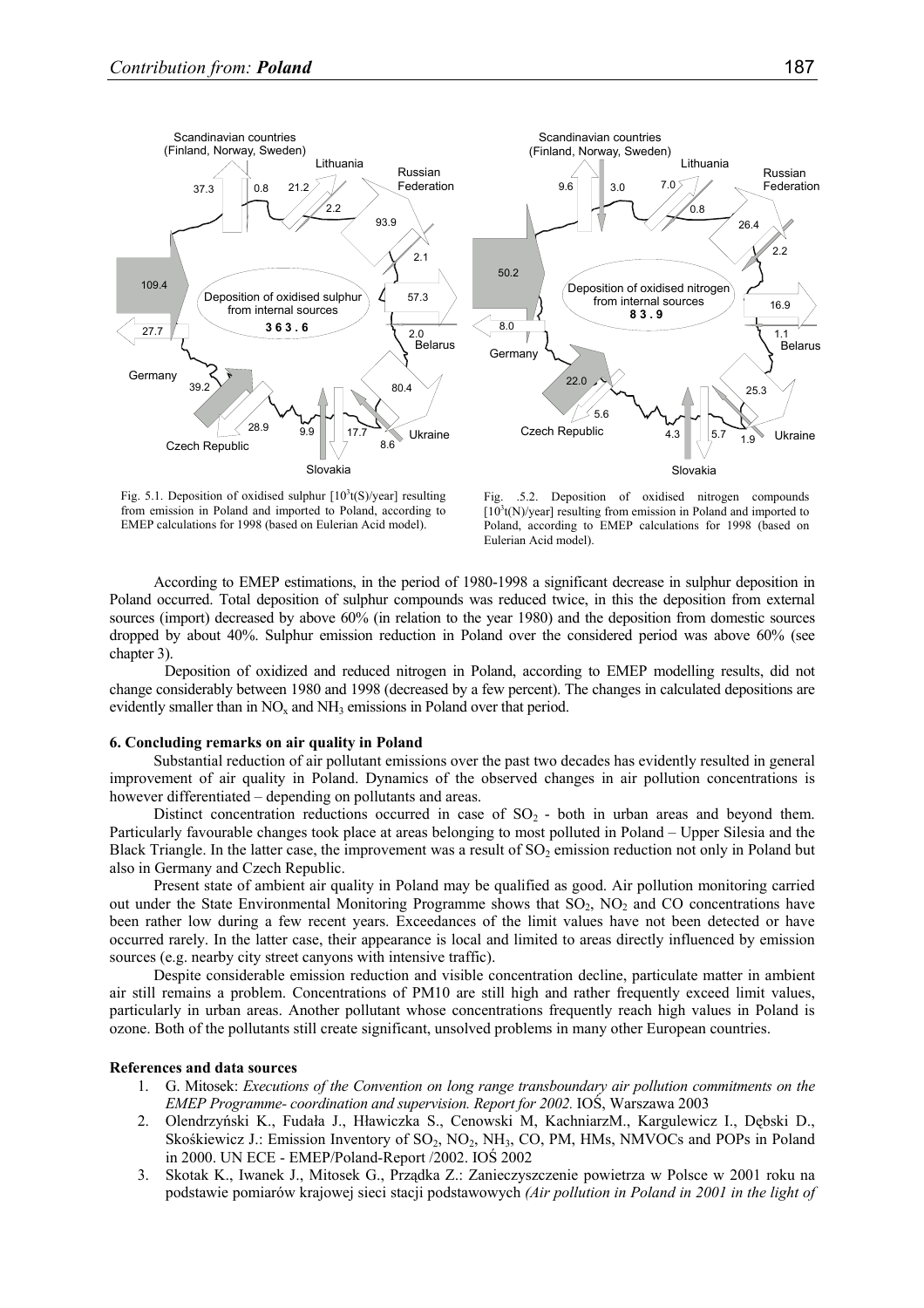

Fig. 5.1. Deposition of oxidised sulphur  $[10^3t(S)/year]$  resulting from emission in Poland and imported to Poland, according to EMEP calculations for 1998 (based on Eulerian Acid model).

Fig. .5.2. Deposition of oxidised nitrogen compounds  $[10<sup>3</sup>$ t(N)/year] resulting from emission in Poland and imported to Poland, according to EMEP calculations for 1998 (based on Eulerian Acid model).

According to EMEP estimations, in the period of 1980-1998 a significant decrease in sulphur deposition in Poland occurred. Total deposition of sulphur compounds was reduced twice, in this the deposition from external sources (import) decreased by above 60% (in relation to the year 1980) and the deposition from domestic sources dropped by about 40%. Sulphur emission reduction in Poland over the considered period was above 60% (see chapter 3).

 Deposition of oxidized and reduced nitrogen in Poland, according to EMEP modelling results, did not change considerably between 1980 and 1998 (decreased by a few percent). The changes in calculated depositions are evidently smaller than in  $NO<sub>x</sub>$  and  $NH<sub>3</sub>$  emissions in Poland over that period.

#### **6. Concluding remarks on air quality in Poland**

Substantial reduction of air pollutant emissions over the past two decades has evidently resulted in general improvement of air quality in Poland. Dynamics of the observed changes in air pollution concentrations is however differentiated – depending on pollutants and areas.

Distinct concentration reductions occurred in case of  $SO<sub>2</sub>$  - both in urban areas and beyond them. Particularly favourable changes took place at areas belonging to most polluted in Poland – Upper Silesia and the Black Triangle. In the latter case, the improvement was a result of  $SO_2$  emission reduction not only in Poland but also in Germany and Czech Republic.

Present state of ambient air quality in Poland may be qualified as good. Air pollution monitoring carried out under the State Environmental Monitoring Programme shows that  $SO_2$ ,  $NO_2$  and CO concentrations have been rather low during a few recent years. Exceedances of the limit values have not been detected or have occurred rarely. In the latter case, their appearance is local and limited to areas directly influenced by emission sources (e.g. nearby city street canyons with intensive traffic).

Despite considerable emission reduction and visible concentration decline, particulate matter in ambient air still remains a problem. Concentrations of PM10 are still high and rather frequently exceed limit values, particularly in urban areas. Another pollutant whose concentrations frequently reach high values in Poland is ozone. Both of the pollutants still create significant, unsolved problems in many other European countries.

# **References and data sources**

- 1. G. Mitosek: *Executions of the Convention on long range transboundary air pollution commitments on the EMEP Programme- coordination and supervision. Report for 2002.* IOŚ, Warszawa 2003
- 2. Olendrzyński K., Fudała J., Hławiczka S., Cenowski M, KachniarzM., Kargulewicz I., Dębski D., Skośkiewicz J.: Emission Inventory of SO<sub>2</sub>, NO<sub>2</sub>, NH<sub>3</sub>, CO, PM, HMs, NMVOCs and POPs in Poland in 2000. UN ECE - EMEP/Poland-Report /2002. IOŚ 2002
- 3. Skotak K., Iwanek J., Mitosek G., Prządka Z.: Zanieczyszczenie powietrza w Polsce w 2001 roku na podstawie pomiarów krajowej sieci stacji podstawowych *(Air pollution in Poland in 2001 in the light of*